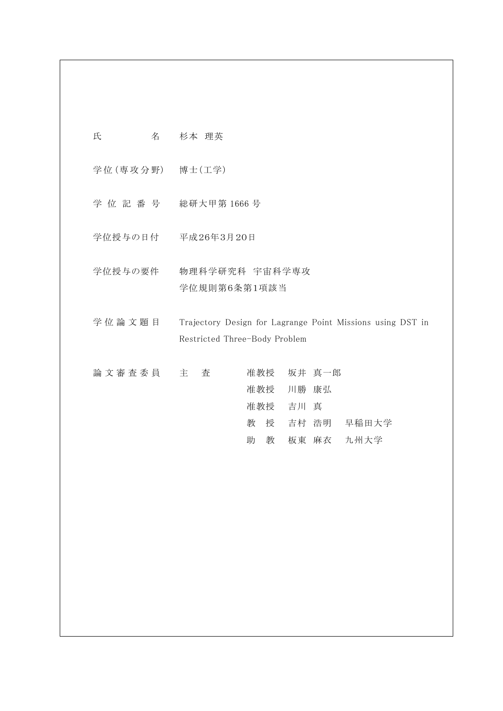| 氏 | 名 | 杉本 理英 |
|---|---|-------|
|   |   |       |

- 学 位 (専 攻 分 野) 博士(工学)
- 学 位 記 番 号 総研大甲第 1666 号
- 学位授与の日付 平成26年3月20日
- 学位授与の要件 物理科学研究科 宇宙科学専攻 学位規則第6条第1項該当
- 学 位 論 文 題 目 Trajectory Design for Lagrange Point Missions using DST in Restricted Three-Body Problem

| 論文審査委員 主 査 |  |  |   |   |           | 准教授 坂井 真一郎 |                 |
|------------|--|--|---|---|-----------|------------|-----------------|
|            |  |  |   |   | 准教授 川勝 康弘 |            |                 |
|            |  |  |   |   | 准教授 吉川 真  |            |                 |
|            |  |  |   |   |           |            | 教 授 吉村 浩明 早稲田大学 |
|            |  |  | 助 | 教 |           |            | 板東 麻衣 九州大学      |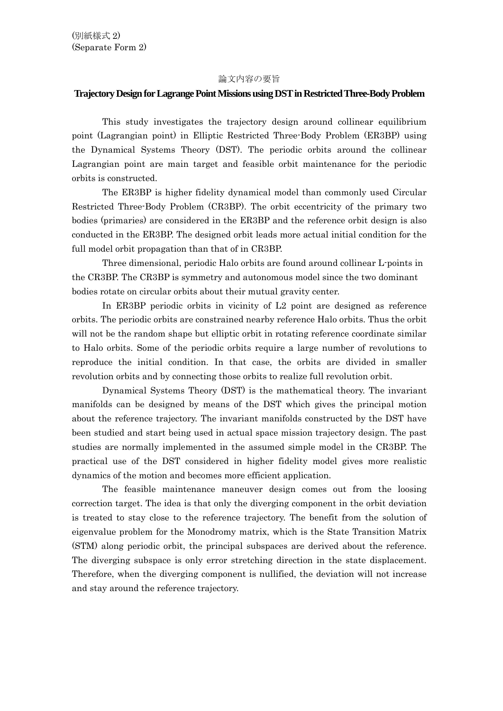## 論文内容の要旨

## **Trajectory Design for Lagrange Point Missions using DST in Restricted Three-Body Problem**

 This study investigates the trajectory design around collinear equilibrium point (Lagrangian point) in Elliptic Restricted Three-Body Problem (ER3BP) using the Dynamical Systems Theory (DST). The periodic orbits around the collinear Lagrangian point are main target and feasible orbit maintenance for the periodic orbits is constructed.

 The ER3BP is higher fidelity dynamical model than commonly used Circular Restricted Three-Body Problem (CR3BP). The orbit eccentricity of the primary two bodies (primaries) are considered in the ER3BP and the reference orbit design is also conducted in the ER3BP. The designed orbit leads more actual initial condition for the full model orbit propagation than that of in CR3BP.

 Three dimensional, periodic Halo orbits are found around collinear L-points in the CR3BP. The CR3BP is symmetry and autonomous model since the two dominant bodies rotate on circular orbits about their mutual gravity center.

 In ER3BP periodic orbits in vicinity of L2 point are designed as reference orbits. The periodic orbits are constrained nearby reference Halo orbits. Thus the orbit will not be the random shape but elliptic orbit in rotating reference coordinate similar to Halo orbits. Some of the periodic orbits require a large number of revolutions to reproduce the initial condition. In that case, the orbits are divided in smaller revolution orbits and by connecting those orbits to realize full revolution orbit.

 Dynamical Systems Theory (DST) is the mathematical theory. The invariant manifolds can be designed by means of the DST which gives the principal motion about the reference trajectory. The invariant manifolds constructed by the DST have been studied and start being used in actual space mission trajectory design. The past studies are normally implemented in the assumed simple model in the CR3BP. The practical use of the DST considered in higher fidelity model gives more realistic dynamics of the motion and becomes more efficient application.

 The feasible maintenance maneuver design comes out from the loosing correction target. The idea is that only the diverging component in the orbit deviation is treated to stay close to the reference trajectory. The benefit from the solution of eigenvalue problem for the Monodromy matrix, which is the State Transition Matrix (STM) along periodic orbit, the principal subspaces are derived about the reference. The diverging subspace is only error stretching direction in the state displacement. Therefore, when the diverging component is nullified, the deviation will not increase and stay around the reference trajectory.